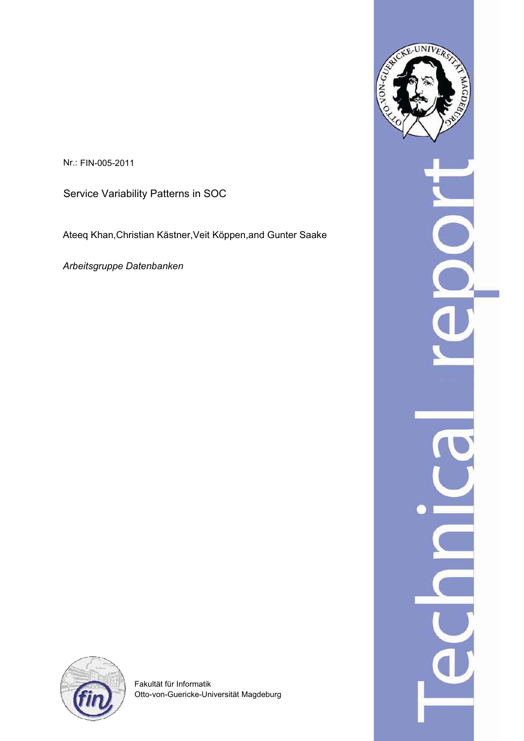Nr.: FIN-005-2011

Service Variability Patterns in SOC

Ateeq Khan,Christian Kästner,Veit Köppen,and Gunter Saake

*Arbeitsgruppe Datenbanken*





Fakultät für Informatik Otto-von-Guericke-Universität Magdeburg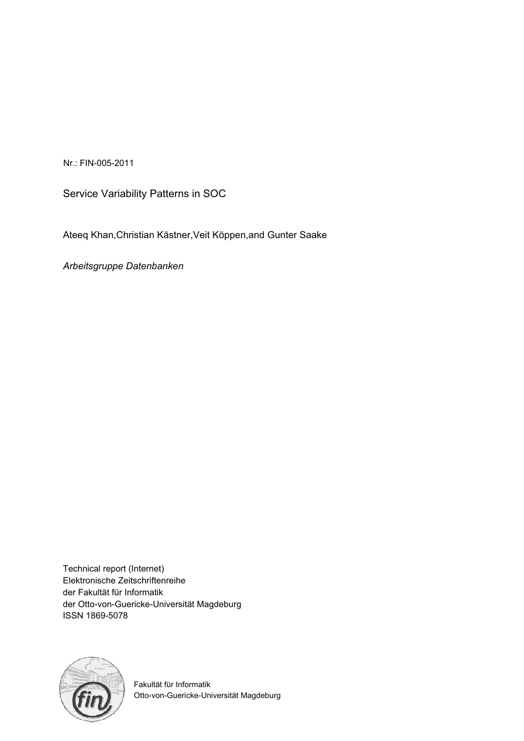Nr.: FIN-005-2011

Service Variability Patterns in SOC

Ateeq Khan,Christian Kästner,Veit Köppen,and Gunter Saake

*Arbeitsgruppe Datenbanken*

Technical report (Internet) Elektronische Zeitschriftenreihe der Fakultät für Informatik der Otto-von-Guericke-Universität Magdeburg ISSN 1869-5078



Fakultät für Informatik Otto-von-Guericke-Universität Magdeburg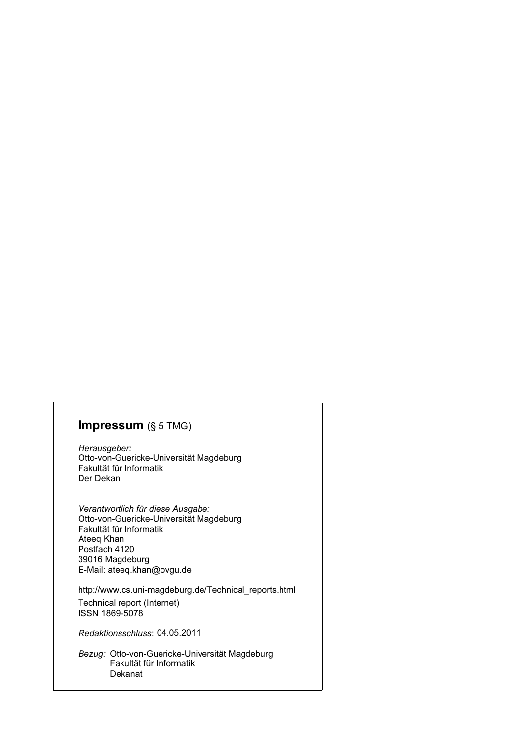#### **Impressum** (§ 5 TMG)

*Herausgeber:*  Otto-von-Guericke-Universität Magdeburg Fakultät für Informatik Der Dekan

*Verantwortlich für diese Ausgabe:*  Otto-von-Guericke-Universität Magdeburg Fakultät für Informatik Postfach 4120 39016 Magdeburg E-Mail: ateeq.khan@ovgu.de Ateeq Khan

http://www.cs.uni-magdeburg.de/Technical\_reports.html

Technical report (Internet) ISSN 1869-5078

*Redaktionsschluss*: 04.05.2011

*Bezug:* Otto-von-Guericke-Universität Magdeburg Fakultät für Informatik Dekanat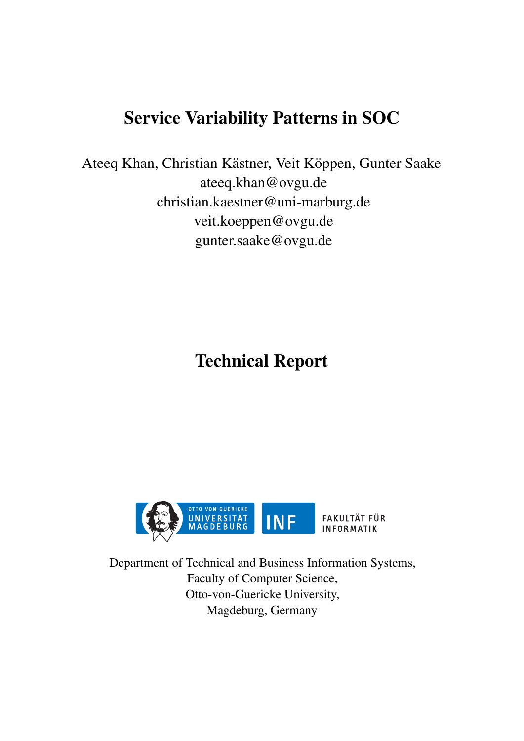# Service Variability Patterns in SOC

Ateeq Khan, Christian Kästner, Veit Köppen, Gunter Saake ateeq.khan@ovgu.de christian.kaestner@uni-marburg.de veit.koeppen@ovgu.de gunter.saake@ovgu.de

Technical Report



Department of Technical and Business Information Systems, Faculty of Computer Science, Otto-von-Guericke University, Magdeburg, Germany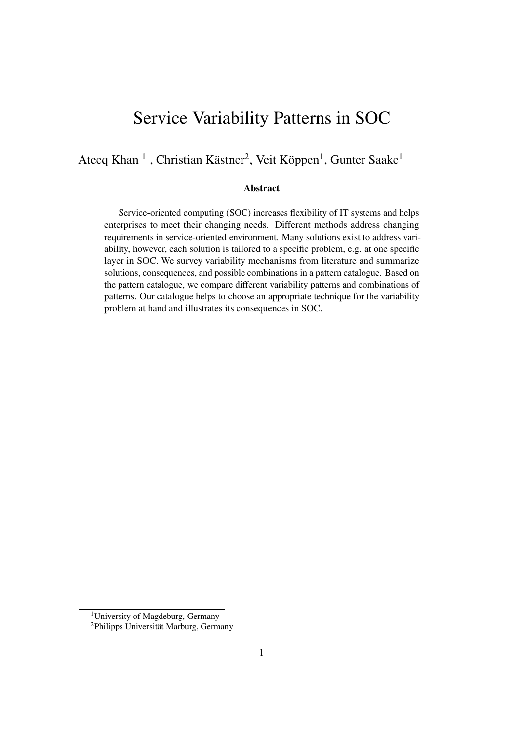## Service Variability Patterns in SOC

Ateeq Khan<sup>1</sup>, Christian Kästner<sup>2</sup>, Veit Köppen<sup>1</sup>, Gunter Saake<sup>1</sup>

#### Abstract

Service-oriented computing (SOC) increases flexibility of IT systems and helps enterprises to meet their changing needs. Different methods address changing requirements in service-oriented environment. Many solutions exist to address variability, however, each solution is tailored to a specific problem, e.g. at one specific layer in SOC. We survey variability mechanisms from literature and summarize solutions, consequences, and possible combinations in a pattern catalogue. Based on the pattern catalogue, we compare different variability patterns and combinations of patterns. Our catalogue helps to choose an appropriate technique for the variability problem at hand and illustrates its consequences in SOC.

<sup>1</sup>University of Magdeburg, Germany

<sup>&</sup>lt;sup>2</sup>Philipps Universität Marburg, Germany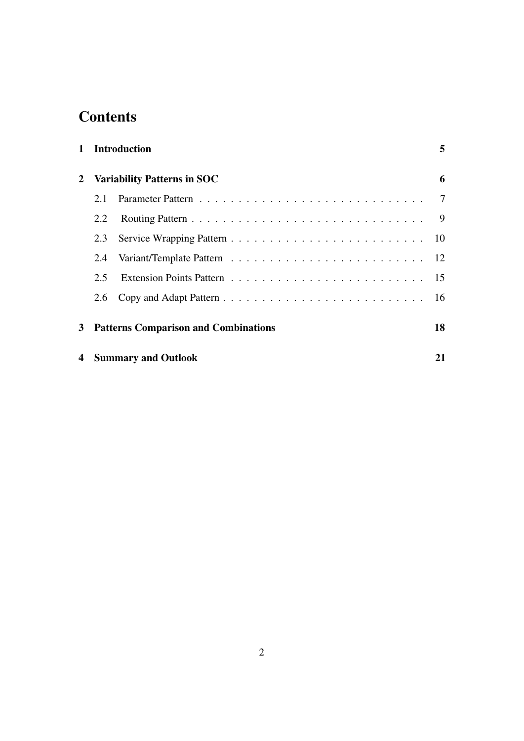# **Contents**

|     | 5                                                                                                                            |
|-----|------------------------------------------------------------------------------------------------------------------------------|
|     | 6                                                                                                                            |
| 2.1 | 7                                                                                                                            |
| 2.2 | 9                                                                                                                            |
| 2.3 |                                                                                                                              |
| 2.4 |                                                                                                                              |
| 2.5 |                                                                                                                              |
| 2.6 |                                                                                                                              |
|     | 18                                                                                                                           |
|     | 21                                                                                                                           |
|     | 1 Introduction<br>2 Variability Patterns in SOC<br><b>Patterns Comparison and Combinations</b><br><b>Summary and Outlook</b> |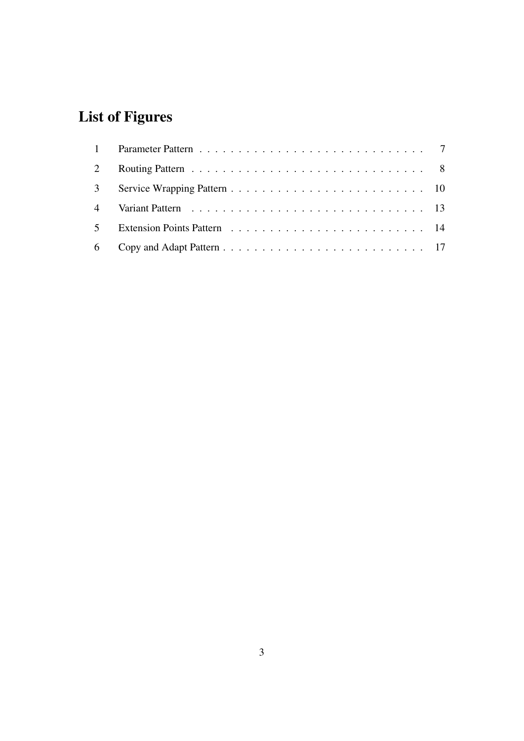# List of Figures

| $\overline{2}$ |  |
|----------------|--|
|                |  |
|                |  |
| 5 <sup>7</sup> |  |
|                |  |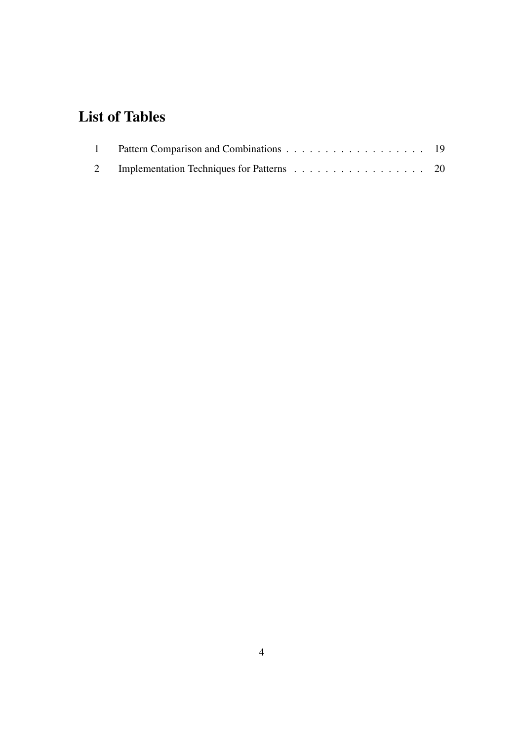# List of Tables

| 2 Implementation Techniques for Patterns 20 |  |
|---------------------------------------------|--|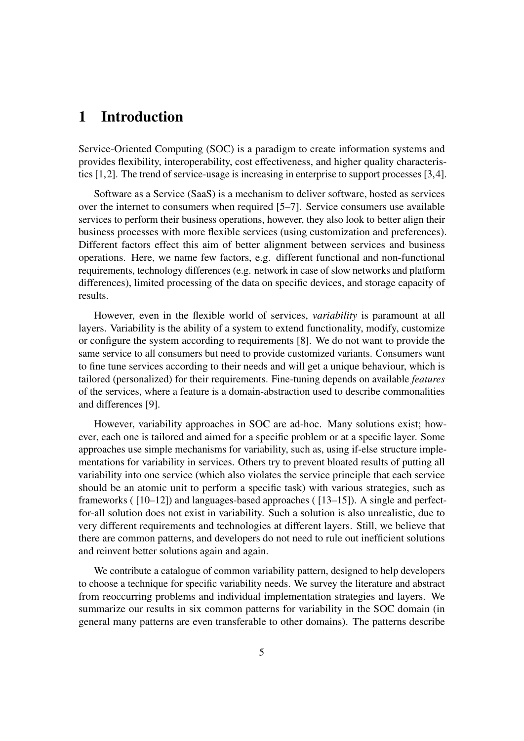## 1 Introduction

Service-Oriented Computing (SOC) is a paradigm to create information systems and provides flexibility, interoperability, cost effectiveness, and higher quality characteristics [1,2]. The trend of service-usage is increasing in enterprise to support processes [3,4].

Software as a Service (SaaS) is a mechanism to deliver software, hosted as services over the internet to consumers when required [5–7]. Service consumers use available services to perform their business operations, however, they also look to better align their business processes with more flexible services (using customization and preferences). Different factors effect this aim of better alignment between services and business operations. Here, we name few factors, e.g. different functional and non-functional requirements, technology differences (e.g. network in case of slow networks and platform differences), limited processing of the data on specific devices, and storage capacity of results.

However, even in the flexible world of services, *variability* is paramount at all layers. Variability is the ability of a system to extend functionality, modify, customize or configure the system according to requirements [8]. We do not want to provide the same service to all consumers but need to provide customized variants. Consumers want to fine tune services according to their needs and will get a unique behaviour, which is tailored (personalized) for their requirements. Fine-tuning depends on available *features* of the services, where a feature is a domain-abstraction used to describe commonalities and differences [9].

However, variability approaches in SOC are ad-hoc. Many solutions exist; however, each one is tailored and aimed for a specific problem or at a specific layer. Some approaches use simple mechanisms for variability, such as, using if-else structure implementations for variability in services. Others try to prevent bloated results of putting all variability into one service (which also violates the service principle that each service should be an atomic unit to perform a specific task) with various strategies, such as frameworks ( [10–12]) and languages-based approaches ( [13–15]). A single and perfectfor-all solution does not exist in variability. Such a solution is also unrealistic, due to very different requirements and technologies at different layers. Still, we believe that there are common patterns, and developers do not need to rule out inefficient solutions and reinvent better solutions again and again.

We contribute a catalogue of common variability pattern, designed to help developers to choose a technique for specific variability needs. We survey the literature and abstract from reoccurring problems and individual implementation strategies and layers. We summarize our results in six common patterns for variability in the SOC domain (in general many patterns are even transferable to other domains). The patterns describe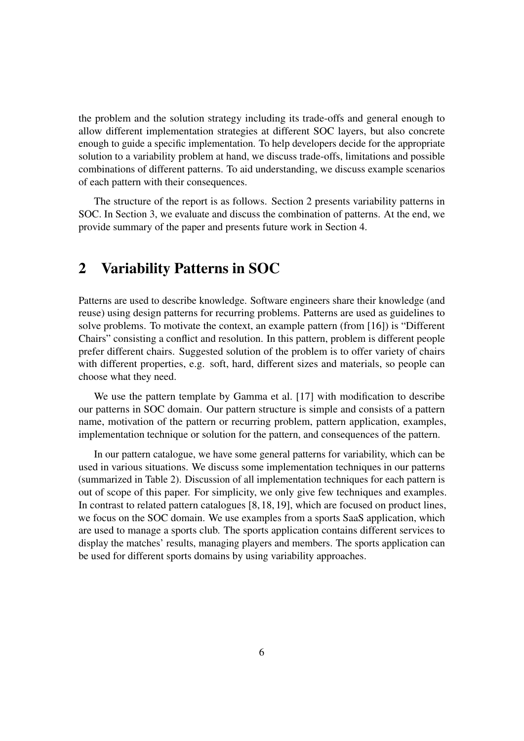the problem and the solution strategy including its trade-offs and general enough to allow different implementation strategies at different SOC layers, but also concrete enough to guide a specific implementation. To help developers decide for the appropriate solution to a variability problem at hand, we discuss trade-offs, limitations and possible combinations of different patterns. To aid understanding, we discuss example scenarios of each pattern with their consequences.

The structure of the report is as follows. Section 2 presents variability patterns in SOC. In Section 3, we evaluate and discuss the combination of patterns. At the end, we provide summary of the paper and presents future work in Section 4.

## 2 Variability Patterns in SOC

Patterns are used to describe knowledge. Software engineers share their knowledge (and reuse) using design patterns for recurring problems. Patterns are used as guidelines to solve problems. To motivate the context, an example pattern (from [16]) is "Different Chairs" consisting a conflict and resolution. In this pattern, problem is different people prefer different chairs. Suggested solution of the problem is to offer variety of chairs with different properties, e.g. soft, hard, different sizes and materials, so people can choose what they need.

We use the pattern template by Gamma et al. [17] with modification to describe our patterns in SOC domain. Our pattern structure is simple and consists of a pattern name, motivation of the pattern or recurring problem, pattern application, examples, implementation technique or solution for the pattern, and consequences of the pattern.

In our pattern catalogue, we have some general patterns for variability, which can be used in various situations. We discuss some implementation techniques in our patterns (summarized in Table 2). Discussion of all implementation techniques for each pattern is out of scope of this paper. For simplicity, we only give few techniques and examples. In contrast to related pattern catalogues [8, 18, 19], which are focused on product lines, we focus on the SOC domain. We use examples from a sports SaaS application, which are used to manage a sports club. The sports application contains different services to display the matches' results, managing players and members. The sports application can be used for different sports domains by using variability approaches.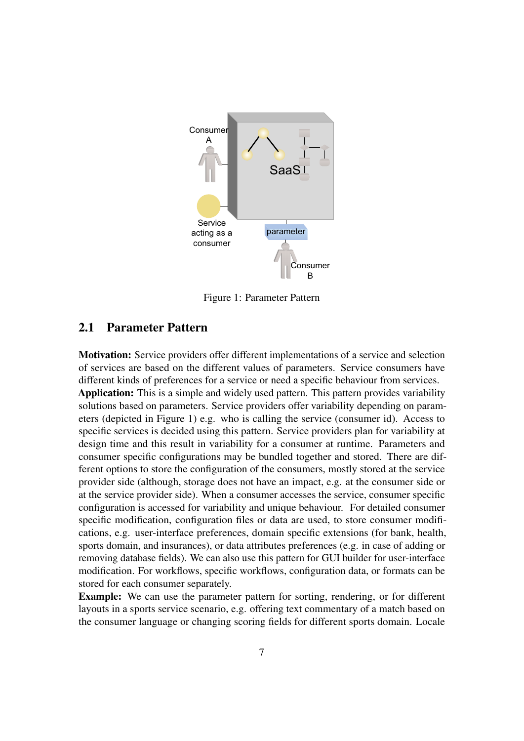

Figure 1: Parameter Pattern

#### 2.1 Parameter Pattern

Motivation: Service providers offer different implementations of a service and selection of services are based on the different values of parameters. Service consumers have different kinds of preferences for a service or need a specific behaviour from services. Application: This is a simple and widely used pattern. This pattern provides variability solutions based on parameters. Service providers offer variability depending on parameters (depicted in Figure 1) e.g. who is calling the service (consumer id). Access to specific services is decided using this pattern. Service providers plan for variability at design time and this result in variability for a consumer at runtime. Parameters and consumer specific configurations may be bundled together and stored. There are different options to store the configuration of the consumers, mostly stored at the service provider side (although, storage does not have an impact, e.g. at the consumer side or at the service provider side). When a consumer accesses the service, consumer specific configuration is accessed for variability and unique behaviour. For detailed consumer specific modification, configuration files or data are used, to store consumer modifications, e.g. user-interface preferences, domain specific extensions (for bank, health, sports domain, and insurances), or data attributes preferences (e.g. in case of adding or removing database fields). We can also use this pattern for GUI builder for user-interface modification. For workflows, specific workflows, configuration data, or formats can be stored for each consumer separately.

Example: We can use the parameter pattern for sorting, rendering, or for different layouts in a sports service scenario, e.g. offering text commentary of a match based on the consumer language or changing scoring fields for different sports domain. Locale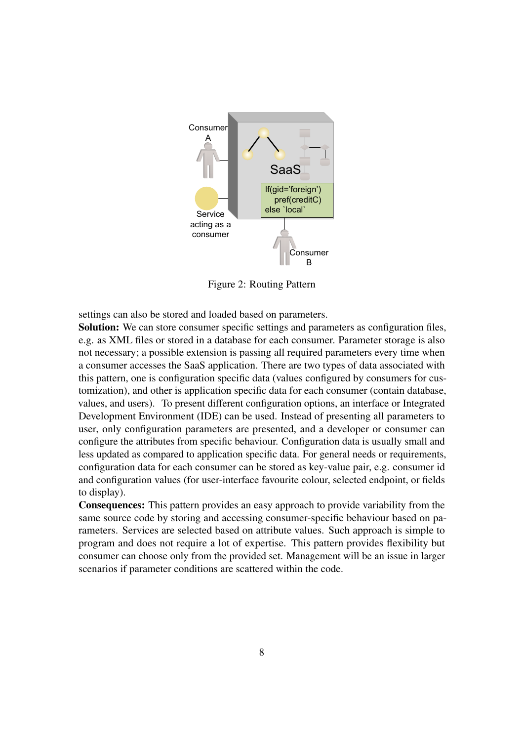

Figure 2: Routing Pattern

settings can also be stored and loaded based on parameters.

Solution: We can store consumer specific settings and parameters as configuration files, e.g. as XML files or stored in a database for each consumer. Parameter storage is also not necessary; a possible extension is passing all required parameters every time when a consumer accesses the SaaS application. There are two types of data associated with this pattern, one is configuration specific data (values configured by consumers for customization), and other is application specific data for each consumer (contain database, values, and users). To present different configuration options, an interface or Integrated Development Environment (IDE) can be used. Instead of presenting all parameters to user, only configuration parameters are presented, and a developer or consumer can configure the attributes from specific behaviour. Configuration data is usually small and less updated as compared to application specific data. For general needs or requirements, configuration data for each consumer can be stored as key-value pair, e.g. consumer id and configuration values (for user-interface favourite colour, selected endpoint, or fields to display).

Consequences: This pattern provides an easy approach to provide variability from the same source code by storing and accessing consumer-specific behaviour based on parameters. Services are selected based on attribute values. Such approach is simple to program and does not require a lot of expertise. This pattern provides flexibility but consumer can choose only from the provided set. Management will be an issue in larger scenarios if parameter conditions are scattered within the code.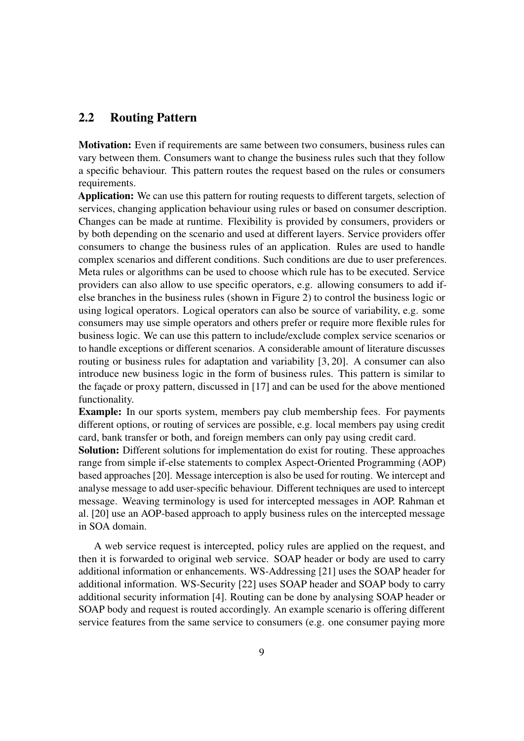#### 2.2 Routing Pattern

Motivation: Even if requirements are same between two consumers, business rules can vary between them. Consumers want to change the business rules such that they follow a specific behaviour. This pattern routes the request based on the rules or consumers requirements.

Application: We can use this pattern for routing requests to different targets, selection of services, changing application behaviour using rules or based on consumer description. Changes can be made at runtime. Flexibility is provided by consumers, providers or by both depending on the scenario and used at different layers. Service providers offer consumers to change the business rules of an application. Rules are used to handle complex scenarios and different conditions. Such conditions are due to user preferences. Meta rules or algorithms can be used to choose which rule has to be executed. Service providers can also allow to use specific operators, e.g. allowing consumers to add ifelse branches in the business rules (shown in Figure 2) to control the business logic or using logical operators. Logical operators can also be source of variability, e.g. some consumers may use simple operators and others prefer or require more flexible rules for business logic. We can use this pattern to include/exclude complex service scenarios or to handle exceptions or different scenarios. A considerable amount of literature discusses routing or business rules for adaptation and variability [3, 20]. A consumer can also introduce new business logic in the form of business rules. This pattern is similar to the facade or proxy pattern, discussed in [17] and can be used for the above mentioned functionality.

Example: In our sports system, members pay club membership fees. For payments different options, or routing of services are possible, e.g. local members pay using credit card, bank transfer or both, and foreign members can only pay using credit card.

Solution: Different solutions for implementation do exist for routing. These approaches range from simple if-else statements to complex Aspect-Oriented Programming (AOP) based approaches [20]. Message interception is also be used for routing. We intercept and analyse message to add user-specific behaviour. Different techniques are used to intercept message. Weaving terminology is used for intercepted messages in AOP. Rahman et al. [20] use an AOP-based approach to apply business rules on the intercepted message in SOA domain.

A web service request is intercepted, policy rules are applied on the request, and then it is forwarded to original web service. SOAP header or body are used to carry additional information or enhancements. WS-Addressing [21] uses the SOAP header for additional information. WS-Security [22] uses SOAP header and SOAP body to carry additional security information [4]. Routing can be done by analysing SOAP header or SOAP body and request is routed accordingly. An example scenario is offering different service features from the same service to consumers (e.g. one consumer paying more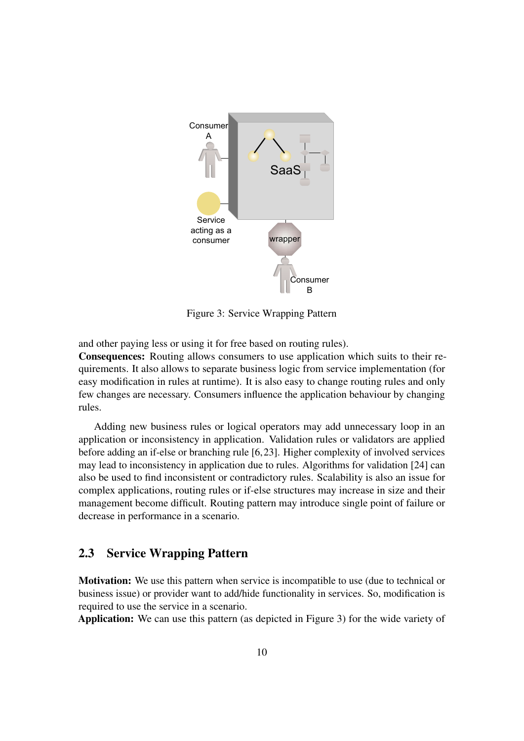

Figure 3: Service Wrapping Pattern

and other paying less or using it for free based on routing rules).

Consequences: Routing allows consumers to use application which suits to their requirements. It also allows to separate business logic from service implementation (for easy modification in rules at runtime). It is also easy to change routing rules and only few changes are necessary. Consumers influence the application behaviour by changing rules.

Adding new business rules or logical operators may add unnecessary loop in an application or inconsistency in application. Validation rules or validators are applied before adding an if-else or branching rule [6, 23]. Higher complexity of involved services may lead to inconsistency in application due to rules. Algorithms for validation [24] can also be used to find inconsistent or contradictory rules. Scalability is also an issue for complex applications, routing rules or if-else structures may increase in size and their management become difficult. Routing pattern may introduce single point of failure or decrease in performance in a scenario.

#### 2.3 Service Wrapping Pattern

**Motivation:** We use this pattern when service is incompatible to use (due to technical or business issue) or provider want to add/hide functionality in services. So, modification is required to use the service in a scenario.

Application: We can use this pattern (as depicted in Figure 3) for the wide variety of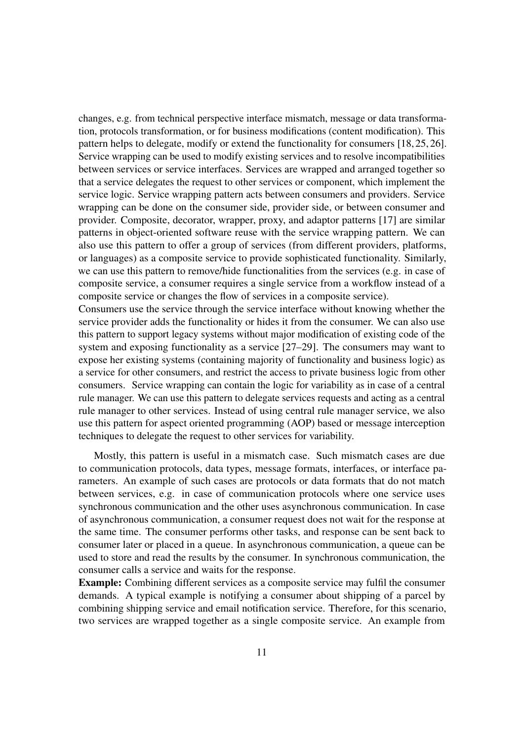changes, e.g. from technical perspective interface mismatch, message or data transformation, protocols transformation, or for business modifications (content modification). This pattern helps to delegate, modify or extend the functionality for consumers [18, 25, 26]. Service wrapping can be used to modify existing services and to resolve incompatibilities between services or service interfaces. Services are wrapped and arranged together so that a service delegates the request to other services or component, which implement the service logic. Service wrapping pattern acts between consumers and providers. Service wrapping can be done on the consumer side, provider side, or between consumer and provider. Composite, decorator, wrapper, proxy, and adaptor patterns [17] are similar patterns in object-oriented software reuse with the service wrapping pattern. We can also use this pattern to offer a group of services (from different providers, platforms, or languages) as a composite service to provide sophisticated functionality. Similarly, we can use this pattern to remove/hide functionalities from the services (e.g. in case of composite service, a consumer requires a single service from a workflow instead of a composite service or changes the flow of services in a composite service).

Consumers use the service through the service interface without knowing whether the service provider adds the functionality or hides it from the consumer. We can also use this pattern to support legacy systems without major modification of existing code of the system and exposing functionality as a service [27–29]. The consumers may want to expose her existing systems (containing majority of functionality and business logic) as a service for other consumers, and restrict the access to private business logic from other consumers. Service wrapping can contain the logic for variability as in case of a central rule manager. We can use this pattern to delegate services requests and acting as a central rule manager to other services. Instead of using central rule manager service, we also use this pattern for aspect oriented programming (AOP) based or message interception techniques to delegate the request to other services for variability.

Mostly, this pattern is useful in a mismatch case. Such mismatch cases are due to communication protocols, data types, message formats, interfaces, or interface parameters. An example of such cases are protocols or data formats that do not match between services, e.g. in case of communication protocols where one service uses synchronous communication and the other uses asynchronous communication. In case of asynchronous communication, a consumer request does not wait for the response at the same time. The consumer performs other tasks, and response can be sent back to consumer later or placed in a queue. In asynchronous communication, a queue can be used to store and read the results by the consumer. In synchronous communication, the consumer calls a service and waits for the response.

Example: Combining different services as a composite service may fulfil the consumer demands. A typical example is notifying a consumer about shipping of a parcel by combining shipping service and email notification service. Therefore, for this scenario, two services are wrapped together as a single composite service. An example from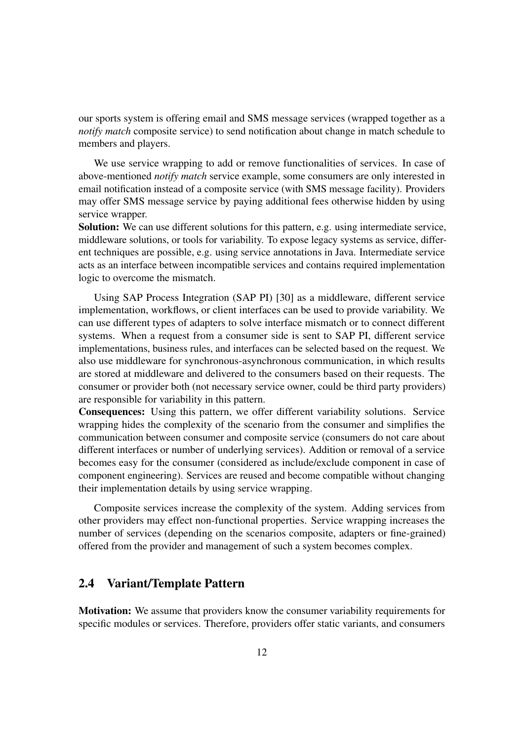our sports system is offering email and SMS message services (wrapped together as a *notify match* composite service) to send notification about change in match schedule to members and players.

We use service wrapping to add or remove functionalities of services. In case of above-mentioned *notify match* service example, some consumers are only interested in email notification instead of a composite service (with SMS message facility). Providers may offer SMS message service by paying additional fees otherwise hidden by using service wrapper.

Solution: We can use different solutions for this pattern, e.g. using intermediate service, middleware solutions, or tools for variability. To expose legacy systems as service, different techniques are possible, e.g. using service annotations in Java. Intermediate service acts as an interface between incompatible services and contains required implementation logic to overcome the mismatch.

Using SAP Process Integration (SAP PI) [30] as a middleware, different service implementation, workflows, or client interfaces can be used to provide variability. We can use different types of adapters to solve interface mismatch or to connect different systems. When a request from a consumer side is sent to SAP PI, different service implementations, business rules, and interfaces can be selected based on the request. We also use middleware for synchronous-asynchronous communication, in which results are stored at middleware and delivered to the consumers based on their requests. The consumer or provider both (not necessary service owner, could be third party providers) are responsible for variability in this pattern.

Consequences: Using this pattern, we offer different variability solutions. Service wrapping hides the complexity of the scenario from the consumer and simplifies the communication between consumer and composite service (consumers do not care about different interfaces or number of underlying services). Addition or removal of a service becomes easy for the consumer (considered as include/exclude component in case of component engineering). Services are reused and become compatible without changing their implementation details by using service wrapping.

Composite services increase the complexity of the system. Adding services from other providers may effect non-functional properties. Service wrapping increases the number of services (depending on the scenarios composite, adapters or fine-grained) offered from the provider and management of such a system becomes complex.

#### 2.4 Variant/Template Pattern

Motivation: We assume that providers know the consumer variability requirements for specific modules or services. Therefore, providers offer static variants, and consumers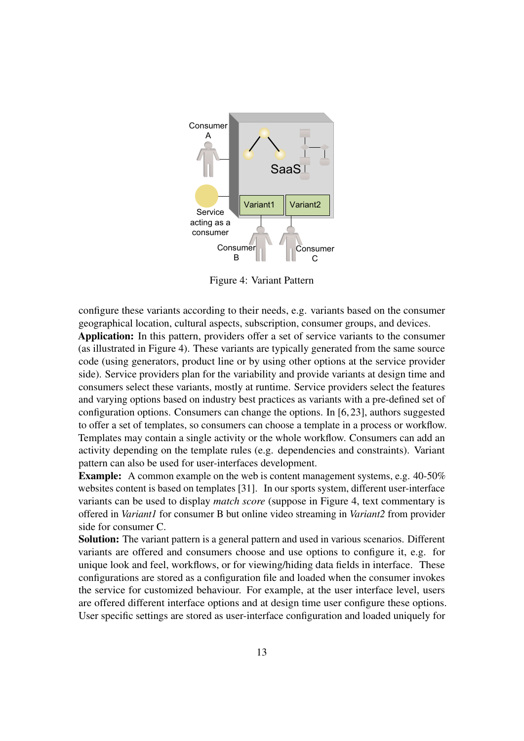

Figure 4: Variant Pattern

configure these variants according to their needs, e.g. variants based on the consumer geographical location, cultural aspects, subscription, consumer groups, and devices.

Application: In this pattern, providers offer a set of service variants to the consumer (as illustrated in Figure 4). These variants are typically generated from the same source code (using generators, product line or by using other options at the service provider side). Service providers plan for the variability and provide variants at design time and consumers select these variants, mostly at runtime. Service providers select the features and varying options based on industry best practices as variants with a pre-defined set of configuration options. Consumers can change the options. In [6, 23], authors suggested to offer a set of templates, so consumers can choose a template in a process or workflow. Templates may contain a single activity or the whole workflow. Consumers can add an activity depending on the template rules (e.g. dependencies and constraints). Variant pattern can also be used for user-interfaces development.

Example: A common example on the web is content management systems, e.g. 40-50% websites content is based on templates [31]. In our sports system, different user-interface variants can be used to display *match score* (suppose in Figure 4, text commentary is offered in *Variant1* for consumer B but online video streaming in *Variant2* from provider side for consumer C.

Solution: The variant pattern is a general pattern and used in various scenarios. Different variants are offered and consumers choose and use options to configure it, e.g. for unique look and feel, workflows, or for viewing/hiding data fields in interface. These configurations are stored as a configuration file and loaded when the consumer invokes the service for customized behaviour. For example, at the user interface level, users are offered different interface options and at design time user configure these options. User specific settings are stored as user-interface configuration and loaded uniquely for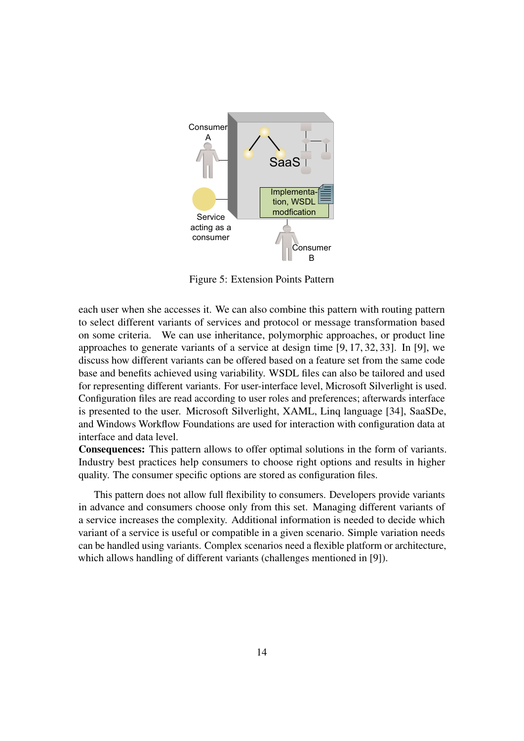

Figure 5: Extension Points Pattern

each user when she accesses it. We can also combine this pattern with routing pattern to select different variants of services and protocol or message transformation based on some criteria. We can use inheritance, polymorphic approaches, or product line approaches to generate variants of a service at design time [9, 17, 32, 33]. In [9], we discuss how different variants can be offered based on a feature set from the same code base and benefits achieved using variability. WSDL files can also be tailored and used for representing different variants. For user-interface level, Microsoft Silverlight is used. Configuration files are read according to user roles and preferences; afterwards interface is presented to the user. Microsoft Silverlight, XAML, Linq language [34], SaaSDe, and Windows Workflow Foundations are used for interaction with configuration data at interface and data level.

Consequences: This pattern allows to offer optimal solutions in the form of variants. Industry best practices help consumers to choose right options and results in higher quality. The consumer specific options are stored as configuration files.

This pattern does not allow full flexibility to consumers. Developers provide variants in advance and consumers choose only from this set. Managing different variants of a service increases the complexity. Additional information is needed to decide which variant of a service is useful or compatible in a given scenario. Simple variation needs can be handled using variants. Complex scenarios need a flexible platform or architecture, which allows handling of different variants (challenges mentioned in [9]).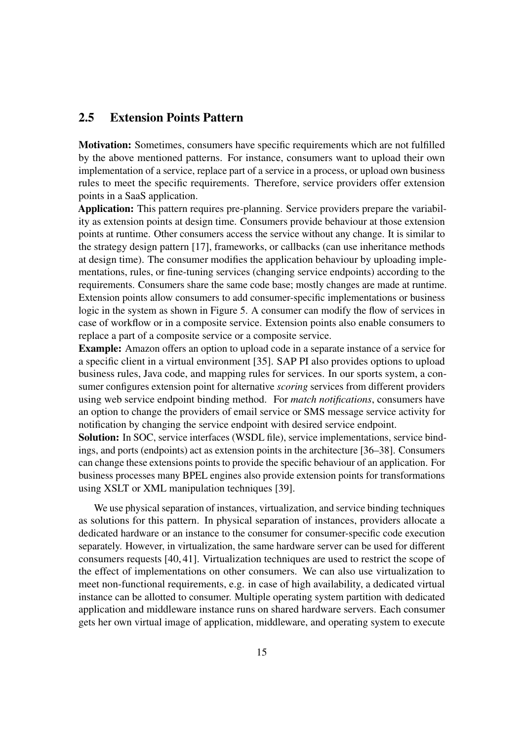#### 2.5 Extension Points Pattern

Motivation: Sometimes, consumers have specific requirements which are not fulfilled by the above mentioned patterns. For instance, consumers want to upload their own implementation of a service, replace part of a service in a process, or upload own business rules to meet the specific requirements. Therefore, service providers offer extension points in a SaaS application.

Application: This pattern requires pre-planning. Service providers prepare the variability as extension points at design time. Consumers provide behaviour at those extension points at runtime. Other consumers access the service without any change. It is similar to the strategy design pattern [17], frameworks, or callbacks (can use inheritance methods at design time). The consumer modifies the application behaviour by uploading implementations, rules, or fine-tuning services (changing service endpoints) according to the requirements. Consumers share the same code base; mostly changes are made at runtime. Extension points allow consumers to add consumer-specific implementations or business logic in the system as shown in Figure 5. A consumer can modify the flow of services in case of workflow or in a composite service. Extension points also enable consumers to replace a part of a composite service or a composite service.

Example: Amazon offers an option to upload code in a separate instance of a service for a specific client in a virtual environment [35]. SAP PI also provides options to upload business rules, Java code, and mapping rules for services. In our sports system, a consumer configures extension point for alternative *scoring* services from different providers using web service endpoint binding method. For *match notifications*, consumers have an option to change the providers of email service or SMS message service activity for notification by changing the service endpoint with desired service endpoint.

Solution: In SOC, service interfaces (WSDL file), service implementations, service bindings, and ports (endpoints) act as extension points in the architecture [36–38]. Consumers can change these extensions points to provide the specific behaviour of an application. For business processes many BPEL engines also provide extension points for transformations using XSLT or XML manipulation techniques [39].

We use physical separation of instances, virtualization, and service binding techniques as solutions for this pattern. In physical separation of instances, providers allocate a dedicated hardware or an instance to the consumer for consumer-specific code execution separately. However, in virtualization, the same hardware server can be used for different consumers requests [40, 41]. Virtualization techniques are used to restrict the scope of the effect of implementations on other consumers. We can also use virtualization to meet non-functional requirements, e.g. in case of high availability, a dedicated virtual instance can be allotted to consumer. Multiple operating system partition with dedicated application and middleware instance runs on shared hardware servers. Each consumer gets her own virtual image of application, middleware, and operating system to execute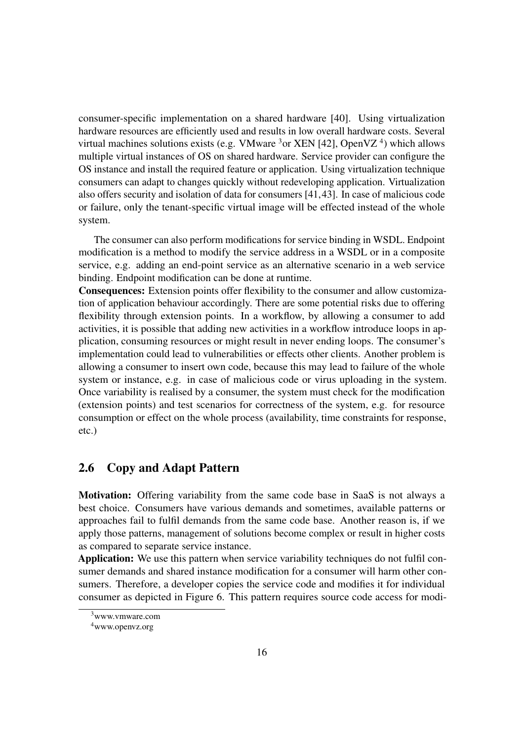consumer-specific implementation on a shared hardware [40]. Using virtualization hardware resources are efficiently used and results in low overall hardware costs. Several virtual machines solutions exists (e.g. VMware  $3\sigma$  XEN [42], OpenVZ  $4$ ) which allows multiple virtual instances of OS on shared hardware. Service provider can configure the OS instance and install the required feature or application. Using virtualization technique consumers can adapt to changes quickly without redeveloping application. Virtualization also offers security and isolation of data for consumers [41,43]. In case of malicious code or failure, only the tenant-specific virtual image will be effected instead of the whole system.

The consumer can also perform modifications for service binding in WSDL. Endpoint modification is a method to modify the service address in a WSDL or in a composite service, e.g. adding an end-point service as an alternative scenario in a web service binding. Endpoint modification can be done at runtime.

Consequences: Extension points offer flexibility to the consumer and allow customization of application behaviour accordingly. There are some potential risks due to offering flexibility through extension points. In a workflow, by allowing a consumer to add activities, it is possible that adding new activities in a workflow introduce loops in application, consuming resources or might result in never ending loops. The consumer's implementation could lead to vulnerabilities or effects other clients. Another problem is allowing a consumer to insert own code, because this may lead to failure of the whole system or instance, e.g. in case of malicious code or virus uploading in the system. Once variability is realised by a consumer, the system must check for the modification (extension points) and test scenarios for correctness of the system, e.g. for resource consumption or effect on the whole process (availability, time constraints for response, etc.)

#### 2.6 Copy and Adapt Pattern

Motivation: Offering variability from the same code base in SaaS is not always a best choice. Consumers have various demands and sometimes, available patterns or approaches fail to fulfil demands from the same code base. Another reason is, if we apply those patterns, management of solutions become complex or result in higher costs as compared to separate service instance.

Application: We use this pattern when service variability techniques do not fulfil consumer demands and shared instance modification for a consumer will harm other consumers. Therefore, a developer copies the service code and modifies it for individual consumer as depicted in Figure 6. This pattern requires source code access for modi-

<sup>3</sup>www.vmware.com

<sup>4</sup>www.openvz.org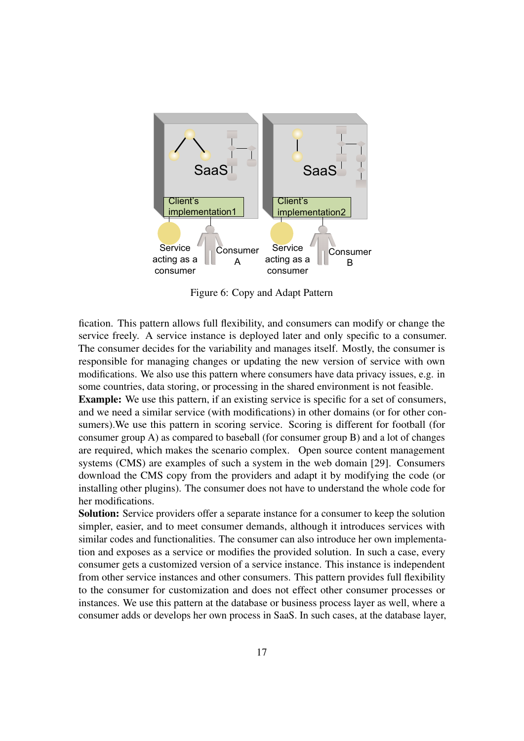

Figure 6: Copy and Adapt Pattern

fication. This pattern allows full flexibility, and consumers can modify or change the service freely. A service instance is deployed later and only specific to a consumer. The consumer decides for the variability and manages itself. Mostly, the consumer is responsible for managing changes or updating the new version of service with own modifications. We also use this pattern where consumers have data privacy issues, e.g. in some countries, data storing, or processing in the shared environment is not feasible.

Example: We use this pattern, if an existing service is specific for a set of consumers, and we need a similar service (with modifications) in other domains (or for other consumers).We use this pattern in scoring service. Scoring is different for football (for consumer group A) as compared to baseball (for consumer group B) and a lot of changes are required, which makes the scenario complex. Open source content management systems (CMS) are examples of such a system in the web domain [29]. Consumers download the CMS copy from the providers and adapt it by modifying the code (or installing other plugins). The consumer does not have to understand the whole code for her modifications.

Solution: Service providers offer a separate instance for a consumer to keep the solution simpler, easier, and to meet consumer demands, although it introduces services with similar codes and functionalities. The consumer can also introduce her own implementation and exposes as a service or modifies the provided solution. In such a case, every consumer gets a customized version of a service instance. This instance is independent from other service instances and other consumers. This pattern provides full flexibility to the consumer for customization and does not effect other consumer processes or instances. We use this pattern at the database or business process layer as well, where a consumer adds or develops her own process in SaaS. In such cases, at the database layer,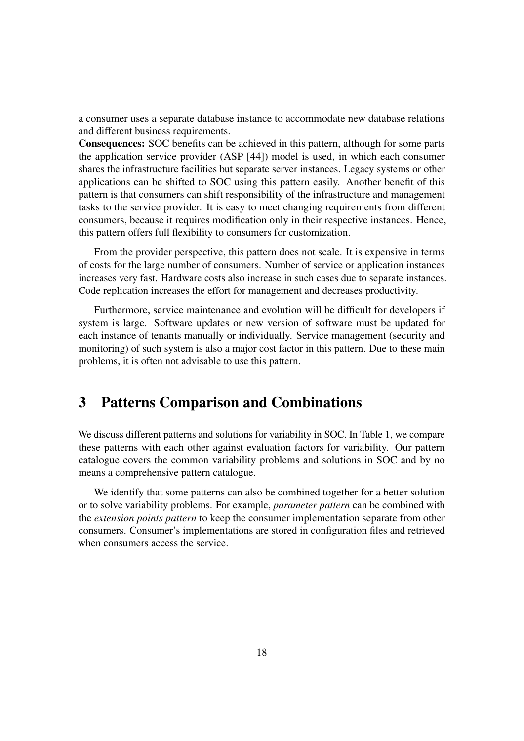a consumer uses a separate database instance to accommodate new database relations and different business requirements.

Consequences: SOC benefits can be achieved in this pattern, although for some parts the application service provider (ASP [44]) model is used, in which each consumer shares the infrastructure facilities but separate server instances. Legacy systems or other applications can be shifted to SOC using this pattern easily. Another benefit of this pattern is that consumers can shift responsibility of the infrastructure and management tasks to the service provider. It is easy to meet changing requirements from different consumers, because it requires modification only in their respective instances. Hence, this pattern offers full flexibility to consumers for customization.

From the provider perspective, this pattern does not scale. It is expensive in terms of costs for the large number of consumers. Number of service or application instances increases very fast. Hardware costs also increase in such cases due to separate instances. Code replication increases the effort for management and decreases productivity.

Furthermore, service maintenance and evolution will be difficult for developers if system is large. Software updates or new version of software must be updated for each instance of tenants manually or individually. Service management (security and monitoring) of such system is also a major cost factor in this pattern. Due to these main problems, it is often not advisable to use this pattern.

## 3 Patterns Comparison and Combinations

We discuss different patterns and solutions for variability in SOC. In Table 1, we compare these patterns with each other against evaluation factors for variability. Our pattern catalogue covers the common variability problems and solutions in SOC and by no means a comprehensive pattern catalogue.

We identify that some patterns can also be combined together for a better solution or to solve variability problems. For example, *parameter pattern* can be combined with the *extension points pattern* to keep the consumer implementation separate from other consumers. Consumer's implementations are stored in configuration files and retrieved when consumers access the service.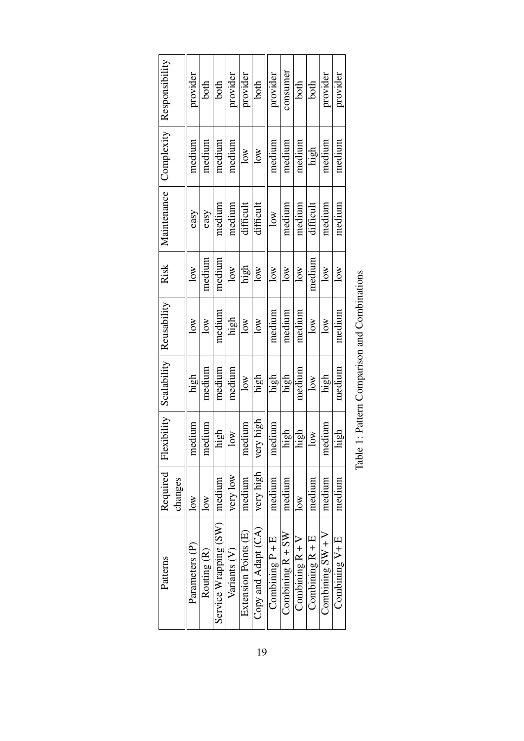| Reusability<br>Scalability<br>Required Flexibility |
|----------------------------------------------------|
| high<br>medium                                     |
| medium<br>medium                                   |
| medium<br>high                                     |
| medium<br>10W                                      |
| $\overline{\text{low}}$<br>medium                  |
| high<br>very high                                  |
| high<br>medium                                     |
| high<br>high                                       |
| medium<br>high                                     |
| $\overline{\text{low}}$<br>10W                     |
| high<br>medium                                     |
| medium<br>high                                     |
|                                                    |

| am himationan<br>l                                                                                    |  |
|-------------------------------------------------------------------------------------------------------|--|
| ĺ                                                                                                     |  |
| ammarismand<br>֧֧֧֧֧֧֧֧ׅ֧֧ׅ֧֧֧֧֧֧֧֧֧֚֚֚֚֚֚֚֚֚֚֚֚֚֚֚֚֚֚֚֚֚֚֚֚֚֚֚֚֚֝֝֓֝֓֝֓֝֓֝֓֜֓֝֬֜֓֝֬֜֝֬֝֬֝֬֜֝֬֝֬<br>l |  |
| ;<br>i<br>C                                                                                           |  |
|                                                                                                       |  |
|                                                                                                       |  |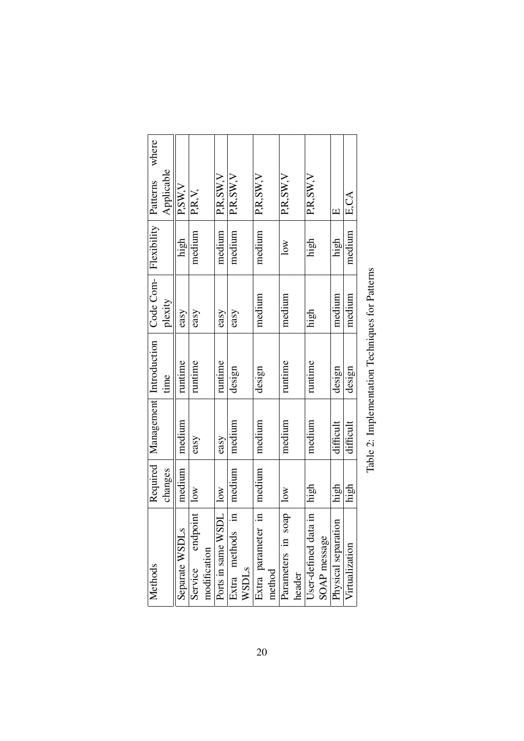| Methods                  |         | Required Management Introduction |         | Code Com- Flexibility   Patterns |                         | where          |  |
|--------------------------|---------|----------------------------------|---------|----------------------------------|-------------------------|----------------|--|
|                          | changes |                                  | time    | plexity                          |                         | Applicable     |  |
| Separate WSDLs           | medium  | medium                           | runtime | easy                             | high                    | P,SW,V         |  |
| Service endpoint         | $\log$  | easy                             | runtime | easy                             | medium                  | P.R.V.         |  |
| modification             |         |                                  |         |                                  |                         |                |  |
| Ports in same WSDL       | 10W     | easy                             | runtime | easy                             | medium                  | PR,SW, V       |  |
| E<br>Extra methods       | medium  | medium                           | design  | easy                             | medium                  | P,R,SW, V      |  |
| WSDLs                    |         |                                  |         |                                  |                         |                |  |
| $\Xi$<br>Extra parameter | medium  | medium                           | design  | medium                           | medium                  | $P$ , R, SW, V |  |
| method                   |         |                                  |         |                                  |                         |                |  |
| $s$ oap<br>Parameters in | $\log$  | medium                           | runtime | medium                           | $\overline{\text{low}}$ | PR,SW, V       |  |
| header                   |         |                                  |         |                                  |                         |                |  |
| User-defined data in     | high    | medium                           | runtime | high                             | high                    | P.R, SW, V     |  |
| SOAP message             |         |                                  |         |                                  |                         |                |  |
| Physical separation      | high    | difficult                        | design  | medium                           | high                    | $\Box$         |  |
| Virtualization           | high    | difficult                        | design  | medium                           | medium                  | E.CA           |  |
|                          |         |                                  |         |                                  |                         |                |  |

Table 2: Implementation Techniques for Patterns Table 2: Implementation Techniques for Patterns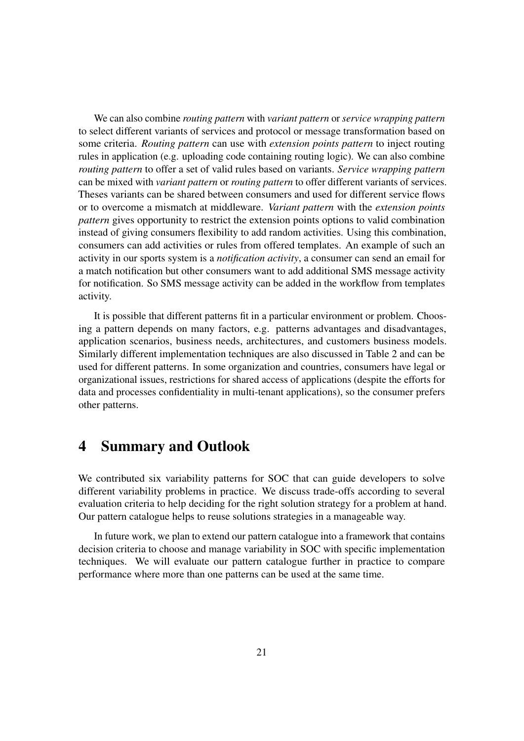We can also combine *routing pattern* with *variant pattern* or *service wrapping pattern* to select different variants of services and protocol or message transformation based on some criteria. *Routing pattern* can use with *extension points pattern* to inject routing rules in application (e.g. uploading code containing routing logic). We can also combine *routing pattern* to offer a set of valid rules based on variants. *Service wrapping pattern* can be mixed with *variant pattern* or *routing pattern* to offer different variants of services. Theses variants can be shared between consumers and used for different service flows or to overcome a mismatch at middleware. *Variant pattern* with the *extension points pattern* gives opportunity to restrict the extension points options to valid combination instead of giving consumers flexibility to add random activities. Using this combination, consumers can add activities or rules from offered templates. An example of such an activity in our sports system is a *notification activity*, a consumer can send an email for a match notification but other consumers want to add additional SMS message activity for notification. So SMS message activity can be added in the workflow from templates activity.

It is possible that different patterns fit in a particular environment or problem. Choosing a pattern depends on many factors, e.g. patterns advantages and disadvantages, application scenarios, business needs, architectures, and customers business models. Similarly different implementation techniques are also discussed in Table 2 and can be used for different patterns. In some organization and countries, consumers have legal or organizational issues, restrictions for shared access of applications (despite the efforts for data and processes confidentiality in multi-tenant applications), so the consumer prefers other patterns.

## 4 Summary and Outlook

We contributed six variability patterns for SOC that can guide developers to solve different variability problems in practice. We discuss trade-offs according to several evaluation criteria to help deciding for the right solution strategy for a problem at hand. Our pattern catalogue helps to reuse solutions strategies in a manageable way.

In future work, we plan to extend our pattern catalogue into a framework that contains decision criteria to choose and manage variability in SOC with specific implementation techniques. We will evaluate our pattern catalogue further in practice to compare performance where more than one patterns can be used at the same time.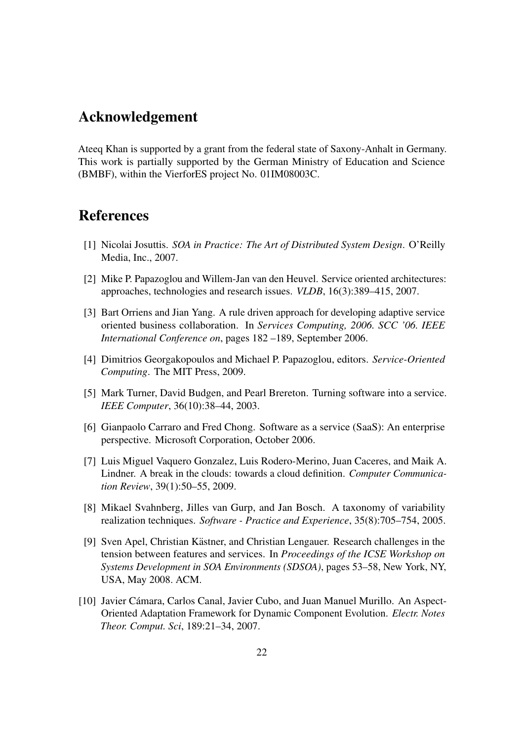## Acknowledgement

Ateeq Khan is supported by a grant from the federal state of Saxony-Anhalt in Germany. This work is partially supported by the German Ministry of Education and Science (BMBF), within the VierforES project No. 01IM08003C.

## References

- [1] Nicolai Josuttis. *SOA in Practice: The Art of Distributed System Design*. O'Reilly Media, Inc., 2007.
- [2] Mike P. Papazoglou and Willem-Jan van den Heuvel. Service oriented architectures: approaches, technologies and research issues. *VLDB*, 16(3):389–415, 2007.
- [3] Bart Orriens and Jian Yang. A rule driven approach for developing adaptive service oriented business collaboration. In *Services Computing, 2006. SCC '06. IEEE International Conference on*, pages 182 –189, September 2006.
- [4] Dimitrios Georgakopoulos and Michael P. Papazoglou, editors. *Service-Oriented Computing*. The MIT Press, 2009.
- [5] Mark Turner, David Budgen, and Pearl Brereton. Turning software into a service. *IEEE Computer*, 36(10):38–44, 2003.
- [6] Gianpaolo Carraro and Fred Chong. Software as a service (SaaS): An enterprise perspective. Microsoft Corporation, October 2006.
- [7] Luis Miguel Vaquero Gonzalez, Luis Rodero-Merino, Juan Caceres, and Maik A. Lindner. A break in the clouds: towards a cloud definition. *Computer Communication Review*, 39(1):50–55, 2009.
- [8] Mikael Svahnberg, Jilles van Gurp, and Jan Bosch. A taxonomy of variability realization techniques. *Software - Practice and Experience*, 35(8):705–754, 2005.
- [9] Sven Apel, Christian Kästner, and Christian Lengauer. Research challenges in the tension between features and services. In *Proceedings of the ICSE Workshop on Systems Development in SOA Environments (SDSOA)*, pages 53–58, New York, NY, USA, May 2008. ACM.
- [10] Javier Cámara, Carlos Canal, Javier Cubo, and Juan Manuel Murillo. An Aspect-Oriented Adaptation Framework for Dynamic Component Evolution. *Electr. Notes Theor. Comput. Sci*, 189:21–34, 2007.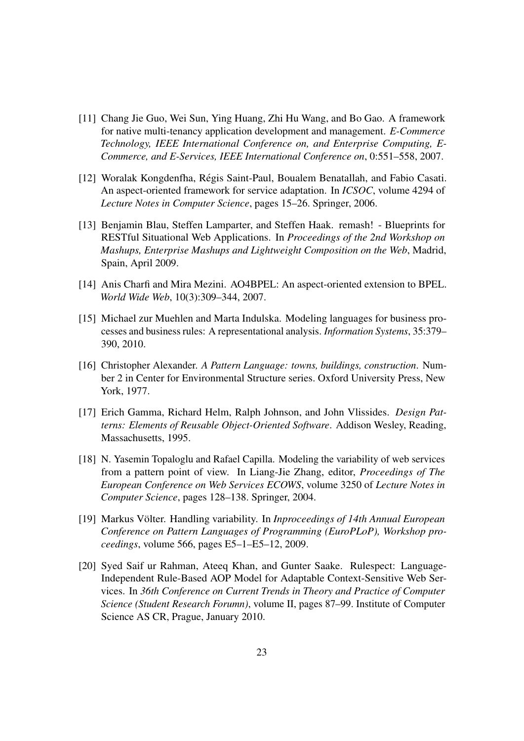- [11] Chang Jie Guo, Wei Sun, Ying Huang, Zhi Hu Wang, and Bo Gao. A framework for native multi-tenancy application development and management. *E-Commerce Technology, IEEE International Conference on, and Enterprise Computing, E-Commerce, and E-Services, IEEE International Conference on*, 0:551–558, 2007.
- [12] Woralak Kongdenfha, Régis Saint-Paul, Boualem Benatallah, and Fabio Casati. An aspect-oriented framework for service adaptation. In *ICSOC*, volume 4294 of *Lecture Notes in Computer Science*, pages 15–26. Springer, 2006.
- [13] Benjamin Blau, Steffen Lamparter, and Steffen Haak. remash! Blueprints for RESTful Situational Web Applications. In *Proceedings of the 2nd Workshop on Mashups, Enterprise Mashups and Lightweight Composition on the Web*, Madrid, Spain, April 2009.
- [14] Anis Charfi and Mira Mezini. AO4BPEL: An aspect-oriented extension to BPEL. *World Wide Web*, 10(3):309–344, 2007.
- [15] Michael zur Muehlen and Marta Indulska. Modeling languages for business processes and business rules: A representational analysis. *Information Systems*, 35:379– 390, 2010.
- [16] Christopher Alexander. *A Pattern Language: towns, buildings, construction*. Number 2 in Center for Environmental Structure series. Oxford University Press, New York, 1977.
- [17] Erich Gamma, Richard Helm, Ralph Johnson, and John Vlissides. *Design Patterns: Elements of Reusable Object-Oriented Software*. Addison Wesley, Reading, Massachusetts, 1995.
- [18] N. Yasemin Topaloglu and Rafael Capilla. Modeling the variability of web services from a pattern point of view. In Liang-Jie Zhang, editor, *Proceedings of The European Conference on Web Services ECOWS*, volume 3250 of *Lecture Notes in Computer Science*, pages 128–138. Springer, 2004.
- [19] Markus Völter. Handling variability. In *Inproceedings of 14th Annual European Conference on Pattern Languages of Programming (EuroPLoP), Workshop proceedings*, volume 566, pages E5–1–E5–12, 2009.
- [20] Syed Saif ur Rahman, Ateeq Khan, and Gunter Saake. Rulespect: Language-Independent Rule-Based AOP Model for Adaptable Context-Sensitive Web Services. In *36th Conference on Current Trends in Theory and Practice of Computer Science (Student Research Forumn)*, volume II, pages 87–99. Institute of Computer Science AS CR, Prague, January 2010.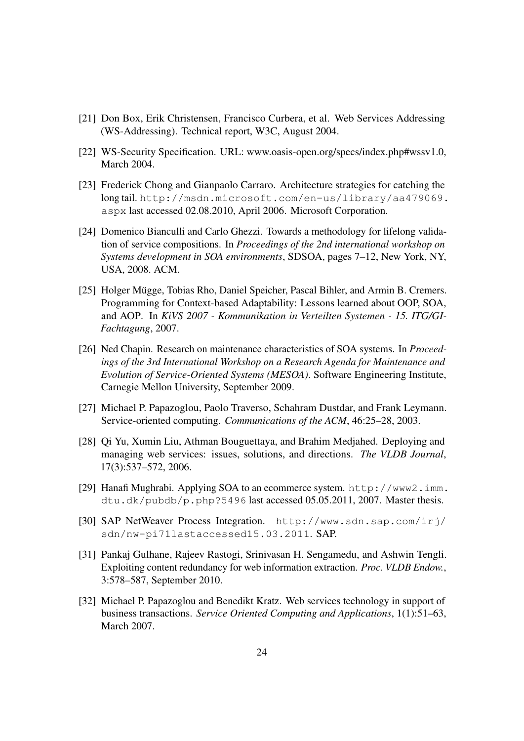- [21] Don Box, Erik Christensen, Francisco Curbera, et al. Web Services Addressing (WS-Addressing). Technical report, W3C, August 2004.
- [22] WS-Security Specification. URL: www.oasis-open.org/specs/index.php#wssv1.0, March 2004.
- [23] Frederick Chong and Gianpaolo Carraro. Architecture strategies for catching the long tail. http://msdn.microsoft.com/en-us/library/aa479069. aspx last accessed 02.08.2010, April 2006. Microsoft Corporation.
- [24] Domenico Bianculli and Carlo Ghezzi. Towards a methodology for lifelong validation of service compositions. In *Proceedings of the 2nd international workshop on Systems development in SOA environments*, SDSOA, pages 7–12, New York, NY, USA, 2008. ACM.
- [25] Holger Mügge, Tobias Rho, Daniel Speicher, Pascal Bihler, and Armin B. Cremers. Programming for Context-based Adaptability: Lessons learned about OOP, SOA, and AOP. In *KiVS 2007 - Kommunikation in Verteilten Systemen - 15. ITG/GI-Fachtagung*, 2007.
- [26] Ned Chapin. Research on maintenance characteristics of SOA systems. In *Proceedings of the 3rd International Workshop on a Research Agenda for Maintenance and Evolution of Service-Oriented Systems (MESOA)*. Software Engineering Institute, Carnegie Mellon University, September 2009.
- [27] Michael P. Papazoglou, Paolo Traverso, Schahram Dustdar, and Frank Leymann. Service-oriented computing. *Communications of the ACM*, 46:25–28, 2003.
- [28] Qi Yu, Xumin Liu, Athman Bouguettaya, and Brahim Medjahed. Deploying and managing web services: issues, solutions, and directions. *The VLDB Journal*, 17(3):537–572, 2006.
- [29] Hanafi Mughrabi. Applying SOA to an ecommerce system. http://www2.imm. dtu.dk/pubdb/p.php?5496 last accessed 05.05.2011, 2007. Master thesis.
- [30] SAP NetWeaver Process Integration. http://www.sdn.sap.com/irj/ sdn/nw-pi71lastaccessed15.03.2011. SAP.
- [31] Pankaj Gulhane, Rajeev Rastogi, Srinivasan H. Sengamedu, and Ashwin Tengli. Exploiting content redundancy for web information extraction. *Proc. VLDB Endow.*, 3:578–587, September 2010.
- [32] Michael P. Papazoglou and Benedikt Kratz. Web services technology in support of business transactions. *Service Oriented Computing and Applications*, 1(1):51–63, March 2007.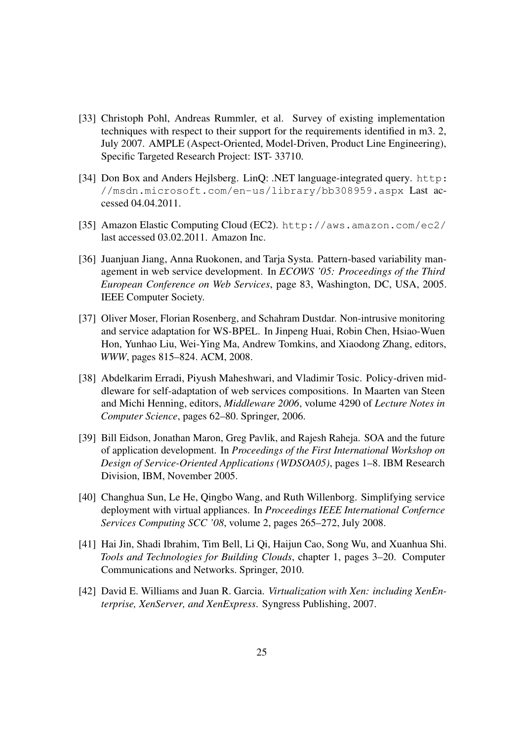- [33] Christoph Pohl, Andreas Rummler, et al. Survey of existing implementation techniques with respect to their support for the requirements identified in m3. 2, July 2007. AMPLE (Aspect-Oriented, Model-Driven, Product Line Engineering), Specific Targeted Research Project: IST- 33710.
- [34] Don Box and Anders Hejlsberg. LinQ: .NET language-integrated query. http: //msdn.microsoft.com/en-us/library/bb308959.aspx Last accessed 04.04.2011.
- [35] Amazon Elastic Computing Cloud (EC2). http://aws.amazon.com/ec2/ last accessed 03.02.2011. Amazon Inc.
- [36] Juanjuan Jiang, Anna Ruokonen, and Tarja Systa. Pattern-based variability management in web service development. In *ECOWS '05: Proceedings of the Third European Conference on Web Services*, page 83, Washington, DC, USA, 2005. IEEE Computer Society.
- [37] Oliver Moser, Florian Rosenberg, and Schahram Dustdar. Non-intrusive monitoring and service adaptation for WS-BPEL. In Jinpeng Huai, Robin Chen, Hsiao-Wuen Hon, Yunhao Liu, Wei-Ying Ma, Andrew Tomkins, and Xiaodong Zhang, editors, *WWW*, pages 815–824. ACM, 2008.
- [38] Abdelkarim Erradi, Piyush Maheshwari, and Vladimir Tosic. Policy-driven middleware for self-adaptation of web services compositions. In Maarten van Steen and Michi Henning, editors, *Middleware 2006*, volume 4290 of *Lecture Notes in Computer Science*, pages 62–80. Springer, 2006.
- [39] Bill Eidson, Jonathan Maron, Greg Pavlik, and Rajesh Raheja. SOA and the future of application development. In *Proceedings of the First International Workshop on Design of Service-Oriented Applications (WDSOA05)*, pages 1–8. IBM Research Division, IBM, November 2005.
- [40] Changhua Sun, Le He, Qingbo Wang, and Ruth Willenborg. Simplifying service deployment with virtual appliances. In *Proceedings IEEE International Confernce Services Computing SCC '08*, volume 2, pages 265–272, July 2008.
- [41] Hai Jin, Shadi Ibrahim, Tim Bell, Li Qi, Haijun Cao, Song Wu, and Xuanhua Shi. *Tools and Technologies for Building Clouds*, chapter 1, pages 3–20. Computer Communications and Networks. Springer, 2010.
- [42] David E. Williams and Juan R. Garcia. *Virtualization with Xen: including XenEnterprise, XenServer, and XenExpress*. Syngress Publishing, 2007.